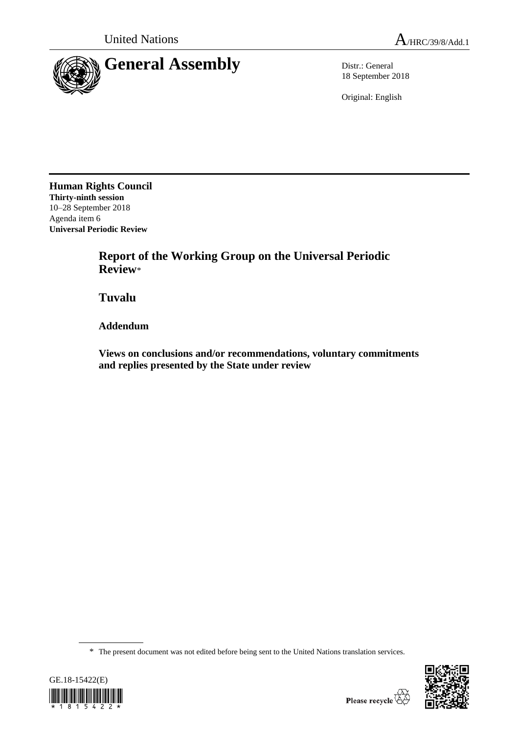

18 September 2018

Original: English

**Human Rights Council Thirty-ninth session** 10–28 September 2018 Agenda item 6 **Universal Periodic Review**

> **Report of the Working Group on the Universal Periodic Review**\*

**Tuvalu**

**Addendum**

**Views on conclusions and/or recommendations, voluntary commitments and replies presented by the State under review**

\* The present document was not edited before being sent to the United Nations translation services.